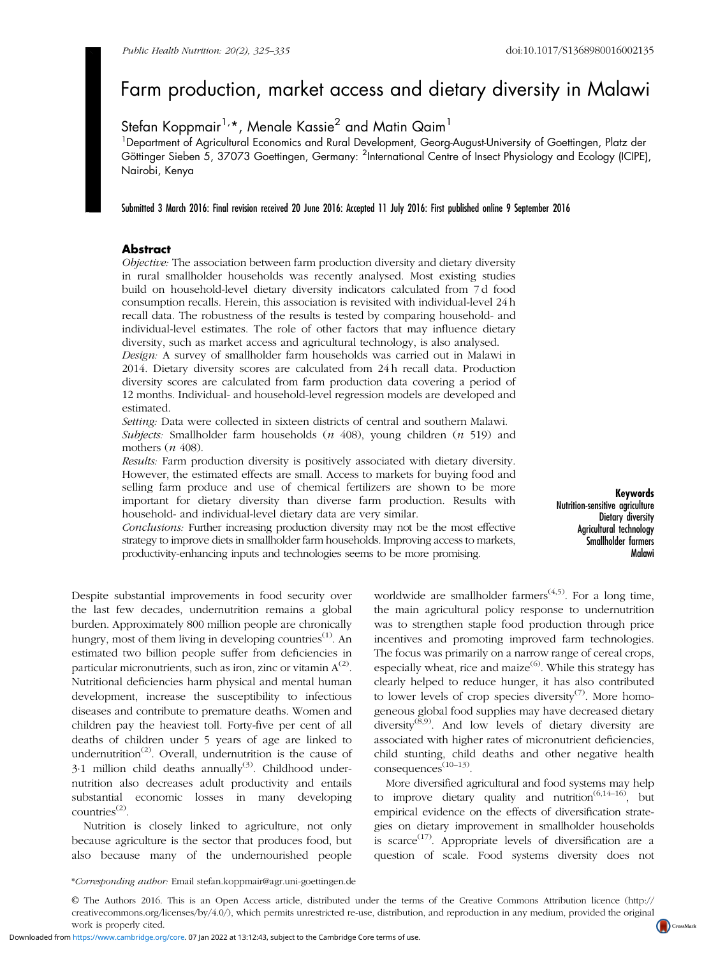# Farm production, market access and dietary diversity in Malawi

# Stefan Koppmair<sup>1,\*</sup>, Menale Kassie<sup>2</sup> and Matin Qaim<sup>1</sup>

<sup>1</sup>Department of Agricultural Economics and Rural Development, Georg-August-University of Goettingen, Platz der Göttinger Sieben 5, 37073 Goettingen, Germany: <sup>2</sup>International Centre of Insect Physiology and Ecology (ICIPE), Nairobi, Kenya

Submitted 3 March 2016: Final revision received 20 June 2016: Accepted 11 July 2016: First published online 9 September 2016

# **Abstract**

Objective: The association between farm production diversity and dietary diversity in rural smallholder households was recently analysed. Most existing studies build on household-level dietary diversity indicators calculated from 7 d food consumption recalls. Herein, this association is revisited with individual-level 24 h recall data. The robustness of the results is tested by comparing household- and individual-level estimates. The role of other factors that may influence dietary diversity, such as market access and agricultural technology, is also analysed.

Design: A survey of smallholder farm households was carried out in Malawi in 2014. Dietary diversity scores are calculated from 24 h recall data. Production diversity scores are calculated from farm production data covering a period of 12 months. Individual- and household-level regression models are developed and estimated.

Setting: Data were collected in sixteen districts of central and southern Malawi. Subjects: Smallholder farm households  $(n\ 408)$ , young children  $(n\ 519)$  and mothers  $(n 408)$ .

Results: Farm production diversity is positively associated with dietary diversity. However, the estimated effects are small. Access to markets for buying food and selling farm produce and use of chemical fertilizers are shown to be more important for dietary diversity than diverse farm production. Results with household- and individual-level dietary data are very similar.

Conclusions: Further increasing production diversity may not be the most effective strategy to improve diets in smallholder farm households. Improving access to markets, productivity-enhancing inputs and technologies seems to be more promising.

Despite substantial improvements in food security over the last few decades, undernutrition remains a global burden. Approximately 800 million people are chronically hungry, most of them living in developing countries $<sup>(1)</sup>$  $<sup>(1)</sup>$  $<sup>(1)</sup>$ . An</sup> estimated two billion people suffer from deficiencies in particular micronutrients, such as iron, zinc or vitamin  $A^{(2)}$  $A^{(2)}$  $A^{(2)}$ . Nutritional deficiencies harm physical and mental human development, increase the susceptibility to infectious diseases and contribute to premature deaths. Women and children pay the heaviest toll. Forty-five per cent of all deaths of children under 5 years of age are linked to undernutrition<sup>([2](#page-9-0))</sup>. Overall, undernutrition is the cause of  $3·1$  $3·1$  million child deaths annually<sup>(3)</sup>. Childhood undernutrition also decreases adult productivity and entails substantial economic losses in many developing countries([2](#page-9-0)).

Nutrition is closely linked to agriculture, not only because agriculture is the sector that produces food, but also because many of the undernourished people

worldwide are smallholder farmers<sup> $(4,5)$  $(4,5)$ </sup>. For a long time, the main agricultural policy response to undernutrition was to strengthen staple food production through price incentives and promoting improved farm technologies. The focus was primarily on a narrow range of cereal crops, especially wheat, rice and maize<sup>[\(6](#page-9-0))</sup>. While this strategy has clearly helped to reduce hunger, it has also contributed to lower levels of crop species diversity<sup>[\(7\)](#page-9-0)</sup>. More homogeneous global food supplies may have decreased dietary diversity<sup>([8](#page-9-0),[9](#page-9-0))</sup>. And low levels of dietary diversity are associated with higher rates of micronutrient deficiencies, child stunting, child deaths and other negative health consequences<sup>[\(10](#page-9-0)–[13](#page-9-0))</sup>.

More diversified agricultural and food systems may help to improve dietary quality and nutrition<sup> $(6,14-16)$  $(6,14-16)$  $(6,14-16)$  $(6,14-16)$  $(6,14-16)$ </sup>, but empirical evidence on the effects of diversification strategies on dietary improvement in smallholder households is scarce<sup> $(17)$  $(17)$ </sup>. Appropriate levels of diversification are a question of scale. Food systems diversity does not

\*Corresponding author: Email stefan.koppmair@agr.uni-goettingen.de

Downloaded from<https://www.cambridge.org/core>. 07 Jan 2022 at 13:12:43, subject to the Cambridge Core terms of use.



Keywords Nutrition-sensitive agriculture Dietary diversity Agricultural technology Smallholder farmers Malawi

<sup>©</sup> The Authors 2016. This is an Open Access article, distributed under the terms of the Creative Commons Attribution licence (http:// creativecommons.org/licenses/by/4.0/), which permits unrestricted re-use, distribution, and reproduction in any medium, provided the original work is properly cited.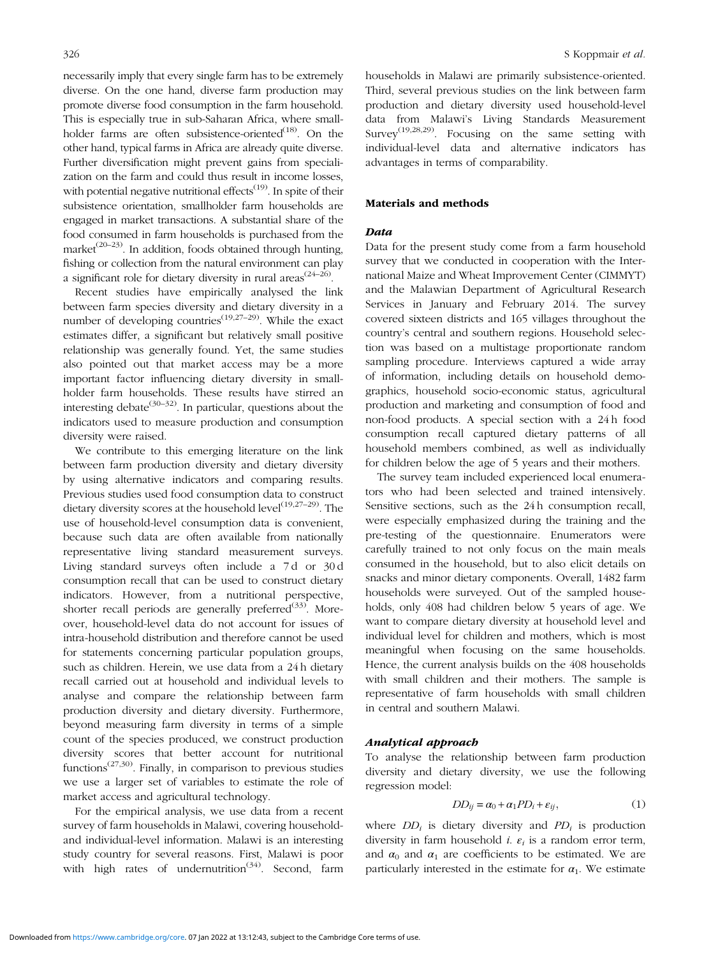necessarily imply that every single farm has to be extremely diverse. On the one hand, diverse farm production may promote diverse food consumption in the farm household. This is especially true in sub-Saharan Africa, where small-holder farms are often subsistence-oriented<sup>[\(18\)](#page-9-0)</sup>. On the other hand, typical farms in Africa are already quite diverse. Further diversification might prevent gains from specialization on the farm and could thus result in income losses, with potential negative nutritional effects<sup> $(19)$  $(19)$ </sup>. In spite of their subsistence orientation, smallholder farm households are engaged in market transactions. A substantial share of the food consumed in farm households is purchased from the market<sup> $(20-23)$  $(20-23)$  $(20-23)$  $(20-23)$ </sup>. In addition, foods obtained through hunting, fishing or collection from the natural environment can play a significant role for dietary diversity in rural areas<sup> $(24-26)$  $(24-26)$  $(24-26)$  $(24-26)$  $(24-26)$ </sup>.

Recent studies have empirically analysed the link between farm species diversity and dietary diversity in a number of developing countries<sup> $(19,27-29)$  $(19,27-29)$  $(19,27-29)$  $(19,27-29)$  $(19,27-29)$ </sup>. While the exact estimates differ, a significant but relatively small positive relationship was generally found. Yet, the same studies also pointed out that market access may be a more important factor influencing dietary diversity in smallholder farm households. These results have stirred an interesting debate<sup>[\(30](#page-10-0)–[32](#page-10-0))</sup>. In particular, questions about the indicators used to measure production and consumption diversity were raised.

We contribute to this emerging literature on the link between farm production diversity and dietary diversity by using alternative indicators and comparing results. Previous studies used food consumption data to construct dietary diversity scores at the household level<sup>([19,27](#page-10-0)–[29](#page-10-0))</sup>. The use of household-level consumption data is convenient, because such data are often available from nationally representative living standard measurement surveys. Living standard surveys often include a 7 d or 30 d consumption recall that can be used to construct dietary indicators. However, from a nutritional perspective, shorter recall periods are generally preferred $(33)$  $(33)$ . Moreover, household-level data do not account for issues of intra-household distribution and therefore cannot be used for statements concerning particular population groups, such as children. Herein, we use data from a 24 h dietary recall carried out at household and individual levels to analyse and compare the relationship between farm production diversity and dietary diversity. Furthermore, beyond measuring farm diversity in terms of a simple count of the species produced, we construct production diversity scores that better account for nutritional functions<sup> $(27,30)$  $(27,30)$ </sup>. Finally, in comparison to previous studies we use a larger set of variables to estimate the role of market access and agricultural technology.

For the empirical analysis, we use data from a recent survey of farm households in Malawi, covering householdand individual-level information. Malawi is an interesting study country for several reasons. First, Malawi is poor with high rates of undernutrition<sup> $(34)$  $(34)$ </sup>. Second, farm

households in Malawi are primarily subsistence-oriented. Third, several previous studies on the link between farm production and dietary diversity used household-level data from Malawi's Living Standards Measurement Survey<sup>([19](#page-10-0),[28,29\)](#page-10-0)</sup>. Focusing on the same setting with individual-level data and alternative indicators has advantages in terms of comparability.

#### Materials and methods

#### Data

Data for the present study come from a farm household survey that we conducted in cooperation with the International Maize and Wheat Improvement Center (CIMMYT) and the Malawian Department of Agricultural Research Services in January and February 2014. The survey covered sixteen districts and 165 villages throughout the country's central and southern regions. Household selection was based on a multistage proportionate random sampling procedure. Interviews captured a wide array of information, including details on household demographics, household socio-economic status, agricultural production and marketing and consumption of food and non-food products. A special section with a 24 h food consumption recall captured dietary patterns of all household members combined, as well as individually for children below the age of 5 years and their mothers.

The survey team included experienced local enumerators who had been selected and trained intensively. Sensitive sections, such as the 24 h consumption recall, were especially emphasized during the training and the pre-testing of the questionnaire. Enumerators were carefully trained to not only focus on the main meals consumed in the household, but to also elicit details on snacks and minor dietary components. Overall, 1482 farm households were surveyed. Out of the sampled households, only 408 had children below 5 years of age. We want to compare dietary diversity at household level and individual level for children and mothers, which is most meaningful when focusing on the same households. Hence, the current analysis builds on the 408 households with small children and their mothers. The sample is representative of farm households with small children in central and southern Malawi.

#### Analytical approach

To analyse the relationship between farm production diversity and dietary diversity, we use the following regression model:

$$
DD_{ij} = \alpha_0 + \alpha_1 PD_i + \varepsilon_{ij},\tag{1}
$$

where  $DD_i$  is dietary diversity and  $PD_i$  is production diversity in farm household *i.*  $\varepsilon_i$  is a random error term, and  $\alpha_0$  and  $\alpha_1$  are coefficients to be estimated. We are particularly interested in the estimate for  $\alpha_1$ . We estimate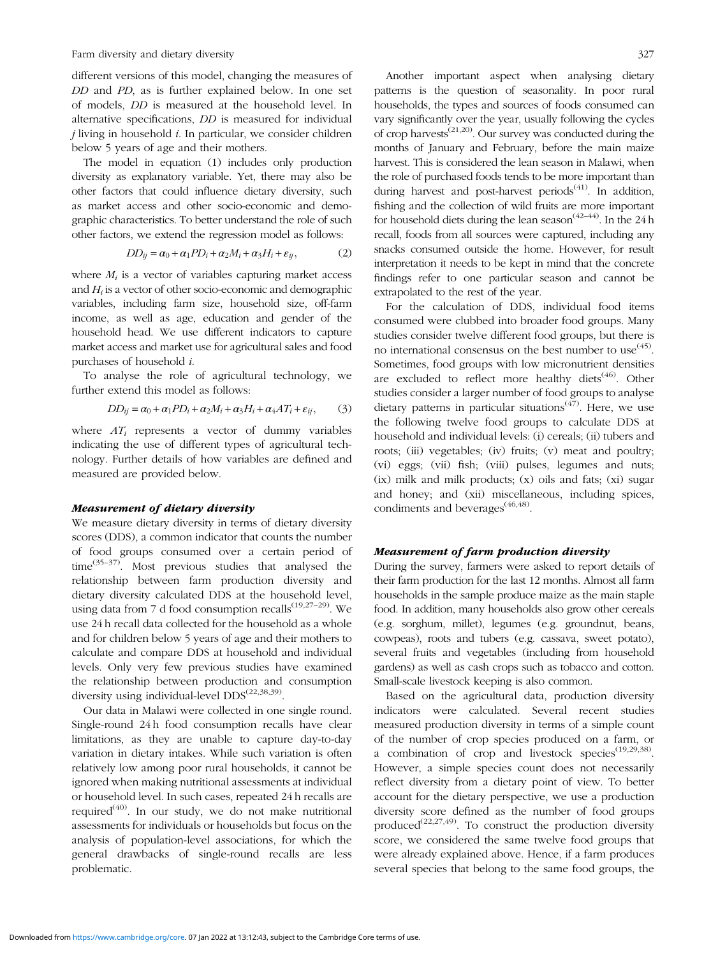Farm diversity and dietary diversity 327

different versions of this model, changing the measures of DD and PD, as is further explained below. In one set of models, DD is measured at the household level. In alternative specifications, DD is measured for individual  $i$  living in household  $i$ . In particular, we consider children below 5 years of age and their mothers.

The model in equation (1) includes only production diversity as explanatory variable. Yet, there may also be other factors that could influence dietary diversity, such as market access and other socio-economic and demographic characteristics. To better understand the role of such other factors, we extend the regression model as follows:

$$
DD_{ij} = \alpha_0 + \alpha_1 PD_i + \alpha_2 M_i + \alpha_3 H_i + \varepsilon_{ij},\tag{2}
$$

where  $M_i$  is a vector of variables capturing market access and  $H_i$  is a vector of other socio-economic and demographic variables, including farm size, household size, off-farm income, as well as age, education and gender of the household head. We use different indicators to capture market access and market use for agricultural sales and food purchases of household i.

To analyse the role of agricultural technology, we further extend this model as follows:

$$
DD_{ij} = \alpha_0 + \alpha_1 PD_i + \alpha_2 M_i + \alpha_3 H_i + \alpha_4 AT_i + \varepsilon_{ij},\qquad(3)
$$

where  $AT_i$  represents a vector of dummy variables indicating the use of different types of agricultural technology. Further details of how variables are defined and measured are provided below.

#### Measurement of dietary diversity

We measure dietary diversity in terms of dietary diversity scores (DDS), a common indicator that counts the number of food groups consumed over a certain period of time $^{(35-37)}$  $^{(35-37)}$  $^{(35-37)}$  $^{(35-37)}$  $^{(35-37)}$ . Most previous studies that analysed the relationship between farm production diversity and dietary diversity calculated DDS at the household level, using data from 7 d food consumption recalls $(19,27-29)$  $(19,27-29)$  $(19,27-29)$ . We use 24 h recall data collected for the household as a whole and for children below 5 years of age and their mothers to calculate and compare DDS at household and individual levels. Only very few previous studies have examined the relationship between production and consumption diversity using individual-level DDS<sup>[\(22,38,39](#page-10-0))</sup>.

Our data in Malawi were collected in one single round. Single-round 24 h food consumption recalls have clear limitations, as they are unable to capture day-to-day variation in dietary intakes. While such variation is often relatively low among poor rural households, it cannot be ignored when making nutritional assessments at individual or household level. In such cases, repeated 24 h recalls are required<sup> $(40)$  $(40)$ </sup>. In our study, we do not make nutritional assessments for individuals or households but focus on the analysis of population-level associations, for which the general drawbacks of single-round recalls are less problematic.

Another important aspect when analysing dietary patterns is the question of seasonality. In poor rural households, the types and sources of foods consumed can vary significantly over the year, usually following the cycles of crop harvests<sup> $(21,20)$  $(21,20)$  $(21,20)$  $(21,20)$ </sup>. Our survey was conducted during the months of January and February, before the main maize harvest. This is considered the lean season in Malawi, when the role of purchased foods tends to be more important than during harvest and post-harvest periods<sup> $(41)$  $(41)$ </sup>. In addition, fishing and the collection of wild fruits are more important for household diets during the lean season<sup> $(42-44)$  $(42-44)$  $(42-44)$  $(42-44)$ </sup>. In the 24 h recall, foods from all sources were captured, including any snacks consumed outside the home. However, for result interpretation it needs to be kept in mind that the concrete findings refer to one particular season and cannot be extrapolated to the rest of the year.

For the calculation of DDS, individual food items consumed were clubbed into broader food groups. Many studies consider twelve different food groups, but there is no international consensus on the best number to use  $(45)$  $(45)$ . Sometimes, food groups with low micronutrient densities are excluded to reflect more healthy diets<sup>([46\)](#page-10-0)</sup>. Other studies consider a larger number of food groups to analyse dietary patterns in particular situations<sup> $(47)$  $(47)$ </sup>. Here, we use the following twelve food groups to calculate DDS at household and individual levels: (i) cereals; (ii) tubers and roots; (iii) vegetables; (iv) fruits; (v) meat and poultry; (vi) eggs; (vii) fish; (viii) pulses, legumes and nuts; (ix) milk and milk products; (x) oils and fats; (xi) sugar and honey; and (xii) miscellaneous, including spices, condiments and beverages<sup>([46](#page-10-0),[48\)](#page-10-0)</sup>.

# Measurement of farm production diversity

During the survey, farmers were asked to report details of their farm production for the last 12 months. Almost all farm households in the sample produce maize as the main staple food. In addition, many households also grow other cereals (e.g. sorghum, millet), legumes (e.g. groundnut, beans, cowpeas), roots and tubers (e.g. cassava, sweet potato), several fruits and vegetables (including from household gardens) as well as cash crops such as tobacco and cotton. Small-scale livestock keeping is also common.

Based on the agricultural data, production diversity indicators were calculated. Several recent studies measured production diversity in terms of a simple count of the number of crop species produced on a farm, or a combination of crop and livestock species<sup> $(19,29,38)$  $(19,29,38)$  $(19,29,38)$ </sup>. However, a simple species count does not necessarily reflect diversity from a dietary point of view. To better account for the dietary perspective, we use a production diversity score defined as the number of food groups produced<sup>[\(22,27,49](#page-10-0))</sup>. To construct the production diversity score, we considered the same twelve food groups that were already explained above. Hence, if a farm produces several species that belong to the same food groups, the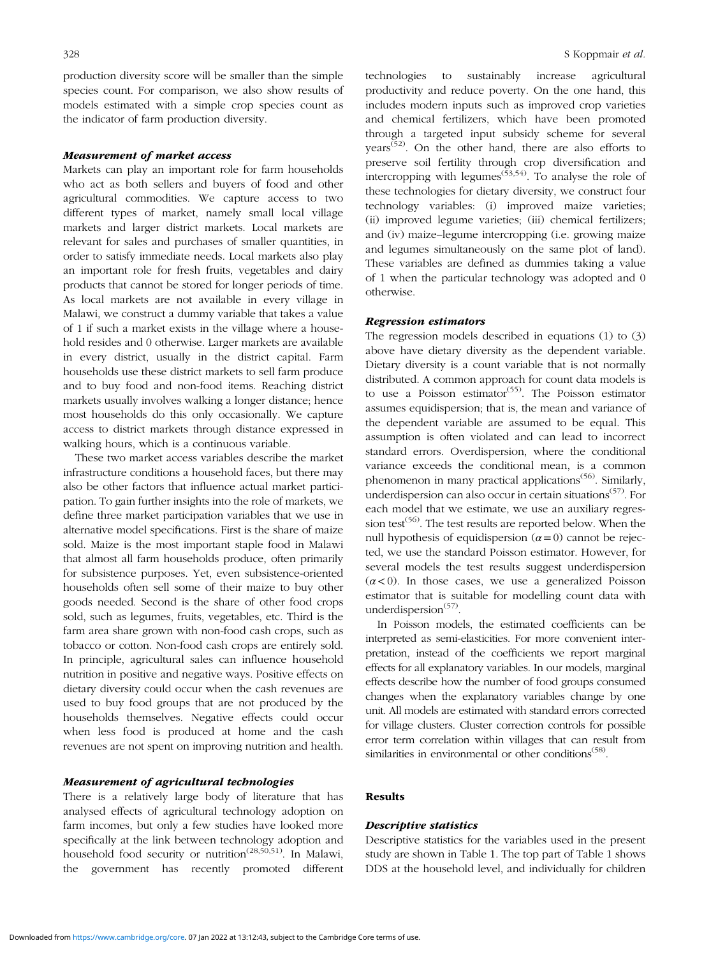production diversity score will be smaller than the simple species count. For comparison, we also show results of models estimated with a simple crop species count as the indicator of farm production diversity.

#### Measurement of market access

Markets can play an important role for farm households who act as both sellers and buyers of food and other agricultural commodities. We capture access to two different types of market, namely small local village markets and larger district markets. Local markets are relevant for sales and purchases of smaller quantities, in order to satisfy immediate needs. Local markets also play an important role for fresh fruits, vegetables and dairy products that cannot be stored for longer periods of time. As local markets are not available in every village in Malawi, we construct a dummy variable that takes a value of 1 if such a market exists in the village where a household resides and 0 otherwise. Larger markets are available in every district, usually in the district capital. Farm households use these district markets to sell farm produce and to buy food and non-food items. Reaching district markets usually involves walking a longer distance; hence most households do this only occasionally. We capture access to district markets through distance expressed in walking hours, which is a continuous variable.

These two market access variables describe the market infrastructure conditions a household faces, but there may also be other factors that influence actual market participation. To gain further insights into the role of markets, we define three market participation variables that we use in alternative model specifications. First is the share of maize sold. Maize is the most important staple food in Malawi that almost all farm households produce, often primarily for subsistence purposes. Yet, even subsistence-oriented households often sell some of their maize to buy other goods needed. Second is the share of other food crops sold, such as legumes, fruits, vegetables, etc. Third is the farm area share grown with non-food cash crops, such as tobacco or cotton. Non-food cash crops are entirely sold. In principle, agricultural sales can influence household nutrition in positive and negative ways. Positive effects on dietary diversity could occur when the cash revenues are used to buy food groups that are not produced by the households themselves. Negative effects could occur when less food is produced at home and the cash revenues are not spent on improving nutrition and health.

# Measurement of agricultural technologies

There is a relatively large body of literature that has analysed effects of agricultural technology adoption on farm incomes, but only a few studies have looked more specifically at the link between technology adoption and household food security or nutrition<sup>([28](#page-10-0),[50,51\)](#page-10-0)</sup>. In Malawi, the government has recently promoted different technologies to sustainably increase agricultural productivity and reduce poverty. On the one hand, this includes modern inputs such as improved crop varieties and chemical fertilizers, which have been promoted through a targeted input subsidy scheme for several years<sup> $(52)$  $(52)$ </sup>. On the other hand, there are also efforts to preserve soil fertility through crop diversification and intercropping with legumes<sup> $(53,54)$  $(53,54)$  $(53,54)$ </sup>. To analyse the role of these technologies for dietary diversity, we construct four technology variables: (i) improved maize varieties; (ii) improved legume varieties; (iii) chemical fertilizers; and (iv) maize–legume intercropping (i.e. growing maize and legumes simultaneously on the same plot of land). These variables are defined as dummies taking a value of 1 when the particular technology was adopted and 0 otherwise.

#### Regression estimators

The regression models described in equations (1) to (3) above have dietary diversity as the dependent variable. Dietary diversity is a count variable that is not normally distributed. A common approach for count data models is to use a Poisson estimator<sup> $(55)$  $(55)$ </sup>. The Poisson estimator assumes equidispersion; that is, the mean and variance of the dependent variable are assumed to be equal. This assumption is often violated and can lead to incorrect standard errors. Overdispersion, where the conditional variance exceeds the conditional mean, is a common phenomenon in many practical applications<sup>[\(56](#page-10-0))</sup>. Similarly, underdispersion can also occur in certain situations<sup> $(57)$  $(57)$ </sup>. For each model that we estimate, we use an auxiliary regres-sion test<sup>([56\)](#page-10-0)</sup>. The test results are reported below. When the null hypothesis of equidispersion  $(a=0)$  cannot be rejected, we use the standard Poisson estimator. However, for several models the test results suggest underdispersion  $(\alpha < 0)$ . In those cases, we use a generalized Poisson estimator that is suitable for modelling count data with underdispersion<sup>([57\)](#page-10-0)</sup>.

In Poisson models, the estimated coefficients can be interpreted as semi-elasticities. For more convenient interpretation, instead of the coefficients we report marginal effects for all explanatory variables. In our models, marginal effects describe how the number of food groups consumed changes when the explanatory variables change by one unit. All models are estimated with standard errors corrected for village clusters. Cluster correction controls for possible error term correlation within villages that can result from similarities in environmental or other conditions<sup> $(58)$  $(58)$ </sup>.

#### Results

# Descriptive statistics

Descriptive statistics for the variables used in the present study are shown in [Table 1](#page-4-0). The top part of [Table 1](#page-4-0) shows DDS at the household level, and individually for children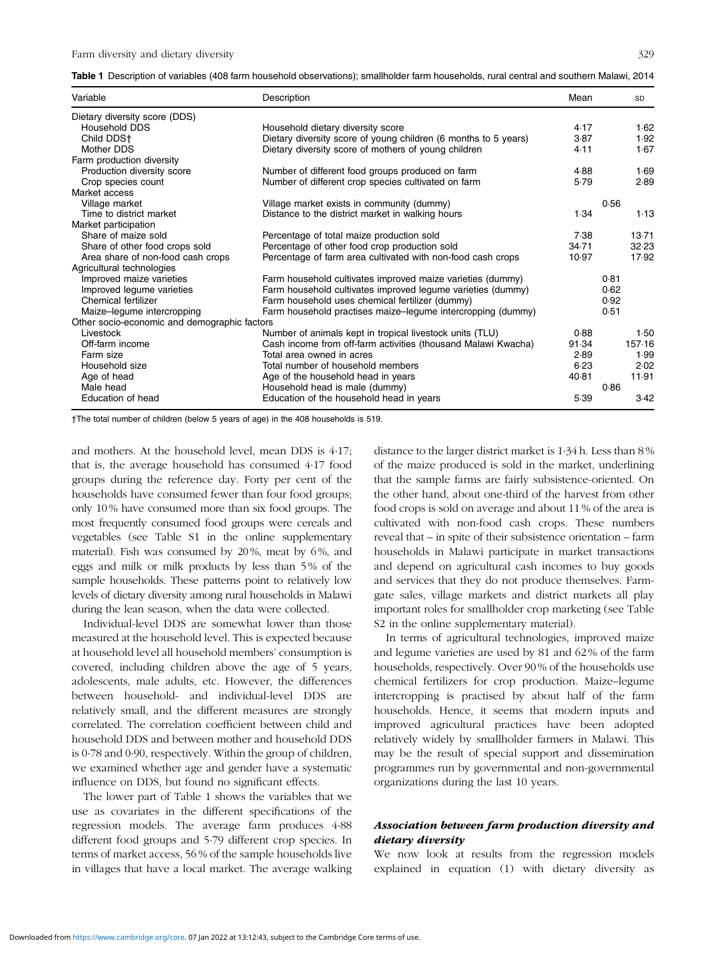<span id="page-4-0"></span>

| Table 1 Description of variables (408 farm household observations); smallholder farm households, rural central and southern Malawi, 2014 |  |  |  |  |
|------------------------------------------------------------------------------------------------------------------------------------------|--|--|--|--|
|                                                                                                                                          |  |  |  |  |

| Variable                                     | Description                                                     | Mean  | SD     |
|----------------------------------------------|-----------------------------------------------------------------|-------|--------|
| Dietary diversity score (DDS)                |                                                                 |       |        |
| <b>Household DDS</b>                         | Household dietary diversity score                               | 4.17  | 1.62   |
| Child DDS+                                   | Dietary diversity score of young children (6 months to 5 years) | 3.87  | 1.92   |
| Mother DDS                                   | Dietary diversity score of mothers of young children            | 4.11  | 1.67   |
| Farm production diversity                    |                                                                 |       |        |
| Production diversity score                   | Number of different food groups produced on farm                | 4.88  | 1.69   |
| Crop species count                           | Number of different crop species cultivated on farm             | 5.79  | 2.89   |
| Market access                                |                                                                 |       |        |
| Village market                               | Village market exists in community (dummy)                      |       | 0.56   |
| Time to district market                      | Distance to the district market in walking hours                | 1.34  | 1.13   |
| Market participation                         |                                                                 |       |        |
| Share of maize sold                          | Percentage of total maize production sold                       | 7.38  | 13.71  |
| Share of other food crops sold               | Percentage of other food crop production sold                   | 34.71 | 32.23  |
| Area share of non-food cash crops            | Percentage of farm area cultivated with non-food cash crops     | 10.97 | 17.92  |
| Agricultural technologies                    |                                                                 |       |        |
| Improved maize varieties                     | Farm household cultivates improved maize varieties (dummy)      |       | 0.81   |
| Improved legume varieties                    | Farm household cultivates improved legume varieties (dummy)     |       | 0.62   |
| Chemical fertilizer                          | Farm household uses chemical fertilizer (dummy)                 |       | 0.92   |
| Maize-legume intercropping                   | Farm household practises maize-legume intercropping (dummy)     |       | 0.51   |
| Other socio-economic and demographic factors |                                                                 |       |        |
| Livestock                                    | Number of animals kept in tropical livestock units (TLU)        | 0.88  | 1.50   |
| Off-farm income                              | Cash income from off-farm activities (thousand Malawi Kwacha)   | 91.34 | 157.16 |
| Farm size                                    | Total area owned in acres                                       | 2.89  | 1.99   |
| Household size                               | Total number of household members                               | 6.23  | 2.02   |
| Age of head                                  | Age of the household head in years                              | 40.81 | 11.91  |
| Male head                                    | Household head is male (dummy)                                  |       | 0.86   |
| Education of head                            | Education of the household head in years                        | 5.39  | 3.42   |

†The total number of children (below 5 years of age) in the 408 households is 519.

and mothers. At the household level, mean DDS is 4·17; that is, the average household has consumed 4·17 food groups during the reference day. Forty per cent of the households have consumed fewer than four food groups; only 10 % have consumed more than six food groups. The most frequently consumed food groups were cereals and vegetables (see Table S1 in the online supplementary material). Fish was consumed by 20%, meat by 6%, and eggs and milk or milk products by less than 5 % of the sample households. These patterns point to relatively low levels of dietary diversity among rural households in Malawi during the lean season, when the data were collected.

Individual-level DDS are somewhat lower than those measured at the household level. This is expected because at household level all household members' consumption is covered, including children above the age of 5 years, adolescents, male adults, etc. However, the differences between household- and individual-level DDS are relatively small, and the different measures are strongly correlated. The correlation coefficient between child and household DDS and between mother and household DDS is 0·78 and 0·90, respectively. Within the group of children, we examined whether age and gender have a systematic influence on DDS, but found no significant effects.

The lower part of Table 1 shows the variables that we use as covariates in the different specifications of the regression models. The average farm produces 4·88 different food groups and 5·79 different crop species. In terms of market access, 56 % of the sample households live in villages that have a local market. The average walking distance to the larger district market is 1·34 h. Less than 8 % of the maize produced is sold in the market, underlining that the sample farms are fairly subsistence-oriented. On the other hand, about one-third of the harvest from other food crops is sold on average and about 11 % of the area is cultivated with non-food cash crops. These numbers reveal that – in spite of their subsistence orientation – farm households in Malawi participate in market transactions and depend on agricultural cash incomes to buy goods and services that they do not produce themselves. Farmgate sales, village markets and district markets all play important roles for smallholder crop marketing (see Table S2 in the online supplementary material).

In terms of agricultural technologies, improved maize and legume varieties are used by 81 and 62 % of the farm households, respectively. Over 90 % of the households use chemical fertilizers for crop production. Maize–legume intercropping is practised by about half of the farm households. Hence, it seems that modern inputs and improved agricultural practices have been adopted relatively widely by smallholder farmers in Malawi. This may be the result of special support and dissemination programmes run by governmental and non-governmental organizations during the last 10 years.

# Association between farm production diversity and dietary diversity

We now look at results from the regression models explained in equation (1) with dietary diversity as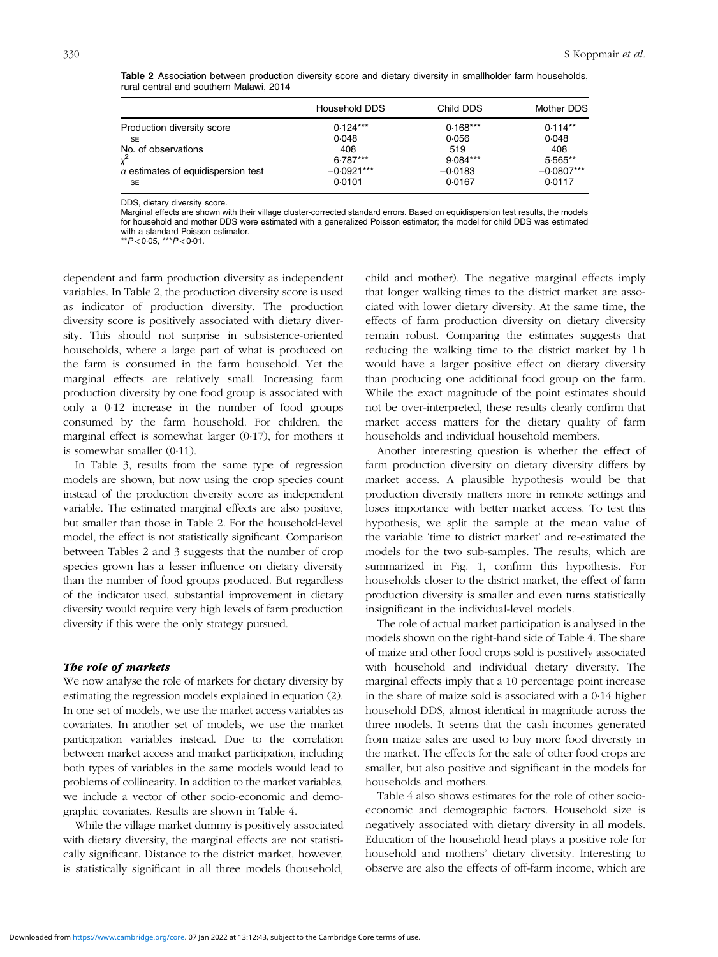|                                                  | Household DDS          | Child DDS           | Mother DDS             |
|--------------------------------------------------|------------------------|---------------------|------------------------|
| Production diversity score                       | $0.124***$             | $0.168***$          | $0.114**$              |
| <b>SE</b>                                        | 0.048                  | 0.056               | 0.048                  |
| No. of observations                              | 408                    | 519                 | 408                    |
| $\chi^2$                                         | $6.787***$             | $9.084***$          | 5.565**                |
| $\alpha$ estimates of equidispersion test<br>SE. | $-0.0921***$<br>0.0101 | $-0.0183$<br>0.0167 | $-0.0807***$<br>0.0117 |

Table 2 Association between production diversity score and dietary diversity in smallholder farm households, rural central and southern Malawi, 2014

DDS, dietary diversity score.

Marginal effects are shown with their village cluster-corrected standard errors. Based on equidispersion test results, the models for household and mother DDS were estimated with a generalized Poisson estimator; the model for child DDS was estimated with a standard Poisson estimator. \*\*P<0·05, \*\*\*P<0·01.

dependent and farm production diversity as independent variables. In Table 2, the production diversity score is used as indicator of production diversity. The production diversity score is positively associated with dietary diversity. This should not surprise in subsistence-oriented households, where a large part of what is produced on the farm is consumed in the farm household. Yet the marginal effects are relatively small. Increasing farm production diversity by one food group is associated with only a 0·12 increase in the number of food groups consumed by the farm household. For children, the marginal effect is somewhat larger (0·17), for mothers it is somewhat smaller (0·11).

In [Table 3,](#page-6-0) results from the same type of regression models are shown, but now using the crop species count instead of the production diversity score as independent variable. The estimated marginal effects are also positive, but smaller than those in Table 2. For the household-level model, the effect is not statistically significant. Comparison between Tables 2 and [3](#page-6-0) suggests that the number of crop species grown has a lesser influence on dietary diversity than the number of food groups produced. But regardless of the indicator used, substantial improvement in dietary diversity would require very high levels of farm production diversity if this were the only strategy pursued.

## The role of markets

We now analyse the role of markets for dietary diversity by estimating the regression models explained in equation (2). In one set of models, we use the market access variables as covariates. In another set of models, we use the market participation variables instead. Due to the correlation between market access and market participation, including both types of variables in the same models would lead to problems of collinearity. In addition to the market variables, we include a vector of other socio-economic and demographic covariates. Results are shown in [Table 4](#page-6-0).

While the village market dummy is positively associated with dietary diversity, the marginal effects are not statistically significant. Distance to the district market, however, is statistically significant in all three models (household, child and mother). The negative marginal effects imply that longer walking times to the district market are associated with lower dietary diversity. At the same time, the effects of farm production diversity on dietary diversity remain robust. Comparing the estimates suggests that reducing the walking time to the district market by 1 h would have a larger positive effect on dietary diversity than producing one additional food group on the farm. While the exact magnitude of the point estimates should not be over-interpreted, these results clearly confirm that market access matters for the dietary quality of farm households and individual household members.

Another interesting question is whether the effect of farm production diversity on dietary diversity differs by market access. A plausible hypothesis would be that production diversity matters more in remote settings and loses importance with better market access. To test this hypothesis, we split the sample at the mean value of the variable 'time to district market' and re-estimated the models for the two sub-samples. The results, which are summarized in [Fig. 1,](#page-7-0) confirm this hypothesis. For households closer to the district market, the effect of farm production diversity is smaller and even turns statistically insignificant in the individual-level models.

The role of actual market participation is analysed in the models shown on the right-hand side of [Table 4](#page-6-0). The share of maize and other food crops sold is positively associated with household and individual dietary diversity. The marginal effects imply that a 10 percentage point increase in the share of maize sold is associated with a 0·14 higher household DDS, almost identical in magnitude across the three models. It seems that the cash incomes generated from maize sales are used to buy more food diversity in the market. The effects for the sale of other food crops are smaller, but also positive and significant in the models for households and mothers.

[Table 4](#page-6-0) also shows estimates for the role of other socioeconomic and demographic factors. Household size is negatively associated with dietary diversity in all models. Education of the household head plays a positive role for household and mothers' dietary diversity. Interesting to observe are also the effects of off-farm income, which are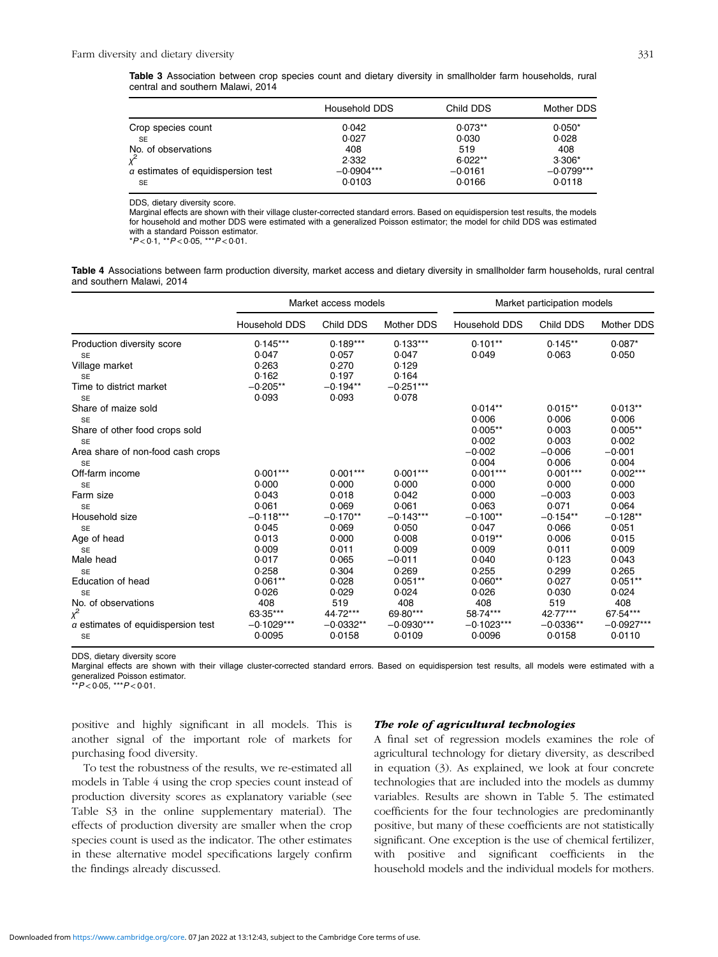<span id="page-6-0"></span>

| Table 3 Association between crop species count and dietary diversity in smallholder farm households, rural |  |  |  |  |  |  |
|------------------------------------------------------------------------------------------------------------|--|--|--|--|--|--|
| central and southern Malawi, 2014                                                                          |  |  |  |  |  |  |

|                                           | Household DDS | Child DDS | <b>Mother DDS</b> |
|-------------------------------------------|---------------|-----------|-------------------|
| Crop species count                        | 0.042         | $0.073**$ | $0.050*$          |
| <b>SE</b>                                 | 0.027         | 0.030     | 0.028             |
| No. of observations                       | 408           | 519       | 408               |
|                                           | 2.332         | $6.022**$ | $3.306*$          |
| $\alpha$ estimates of equidispersion test | $-0.0904***$  | $-0.0161$ | $-0.0799***$      |
| SE                                        | 0.0103        | 0.0166    | 0.0118            |

DDS, dietary diversity score.

Marginal effects are shown with their village cluster-corrected standard errors. Based on equidispersion test results, the models for household and mother DDS were estimated with a generalized Poisson estimator; the model for child DDS was estimated with a standard Poisson estimator. \*P <0·1, \*\*P<0·05, \*\*\*P <0·01.

Table 4 Associations between farm production diversity, market access and dietary diversity in smallholder farm households, rural central and southern Malawi, 2014

|                                                |                      | Market access models |                      | Market participation models |                    |                    |  |
|------------------------------------------------|----------------------|----------------------|----------------------|-----------------------------|--------------------|--------------------|--|
|                                                | <b>Household DDS</b> | Child DDS            | Mother DDS           | Household DDS               | Child DDS          | <b>Mother DDS</b>  |  |
| Production diversity score                     | $0.145***$           | $0.189***$           | $0.133***$           | $0.101**$                   | $0.145**$          | $0.087*$           |  |
| <b>SE</b>                                      | 0.047                | 0.057                | 0.047                | 0.049                       | 0.063              | 0.050              |  |
| Village market<br><b>SE</b>                    | 0.263<br>0.162       | 0.270<br>0.197       | 0.129<br>0.164       |                             |                    |                    |  |
| Time to district market<br><b>SE</b>           | $-0.205**$<br>0.093  | $-0.194**$<br>0.093  | $-0.251***$<br>0.078 |                             |                    |                    |  |
| Share of maize sold<br><b>SE</b>               |                      |                      |                      | $0.014**$<br>0.006          | $0.015**$<br>0.006 | $0.013**$<br>0.006 |  |
| Share of other food crops sold<br><b>SE</b>    |                      |                      |                      | $0.005**$<br>0.002          | 0.003<br>0.003     | $0.005**$<br>0.002 |  |
| Area share of non-food cash crops<br><b>SE</b> |                      |                      |                      | $-0.002$<br>0.004           | $-0.006$<br>0.006  | $-0.001$<br>0.004  |  |
| Off-farm income                                | $0.001***$           | $0.001***$           | $0.001***$           | $0.001***$                  | $0.001***$         | $0.002***$         |  |
| <b>SE</b>                                      | 0.000                | 0.000                | 0.000                | 0.000                       | 0.000              | 0.000              |  |
| Farm size                                      | 0.043                | 0.018                | 0.042                | 0.000                       | $-0.003$           | 0.003              |  |
| <b>SE</b>                                      | 0.061                | 0.069                | 0.061                | 0.063                       | 0.071              | 0.064              |  |
| Household size                                 | $-0.118***$          | $-0.170**$           | $-0.143***$          | $-0.100**$                  | $-0.154**$         | $-0.128**$         |  |
| <b>SE</b>                                      | 0.045                | 0.069                | 0.050                | 0.047                       | 0.066              | 0.051              |  |
| Age of head                                    | 0.013                | 0.000                | 0.008                | $0.019**$                   | 0.006              | 0.015              |  |
| <b>SE</b>                                      | 0.009                | 0.011                | 0.009                | 0.009                       | 0.011              | 0.009              |  |
| Male head                                      | 0.017                | 0.065                | $-0.011$             | 0.040                       | 0.123              | 0.043              |  |
| <b>SE</b>                                      | 0.258                | 0.304                | 0.269                | 0.255                       | 0.299              | 0.265              |  |
| Education of head                              | $0.061**$            | 0.028                | $0.051**$            | $0.060**$                   | 0.027              | $0.051**$          |  |
| <b>SE</b>                                      | 0.026                | 0.029                | 0.024                | 0.026                       | 0.030              | 0.024              |  |
| No. of observations                            | 408                  | 519                  | 408                  | 408                         | 519                | 408                |  |
| $x^2$                                          | 63.35***             | 44.72***             | 69.80***             | 58.74***                    | 42.77***           | 67.54***           |  |
| $\alpha$ estimates of equidispersion test      | $-0.1029***$         | $-0.0332**$          | $-0.0930***$         | $-0.1023***$                | $-0.0336**$        | $-0.0927***$       |  |
| <b>SE</b>                                      | 0.0095               | 0.0158               | 0.0109               | 0.0096                      | 0.0158             | 0.0110             |  |

DDS, dietary diversity score

Marginal effects are shown with their village cluster-corrected standard errors. Based on equidispersion test results, all models were estimated with a generalized Poisson estimator.

 $*^*P < 0.05$ ,  $*^*P < 0.01$ .

positive and highly significant in all models. This is another signal of the important role of markets for purchasing food diversity.

# To test the robustness of the results, we re-estimated all models in Table 4 using the crop species count instead of production diversity scores as explanatory variable (see Table S3 in the online supplementary material). The effects of production diversity are smaller when the crop species count is used as the indicator. The other estimates in these alternative model specifications largely confirm the findings already discussed.

#### The role of agricultural technologies

A final set of regression models examines the role of agricultural technology for dietary diversity, as described in equation (3). As explained, we look at four concrete technologies that are included into the models as dummy variables. Results are shown in [Table 5.](#page-8-0) The estimated coefficients for the four technologies are predominantly positive, but many of these coefficients are not statistically significant. One exception is the use of chemical fertilizer, with positive and significant coefficients in the household models and the individual models for mothers.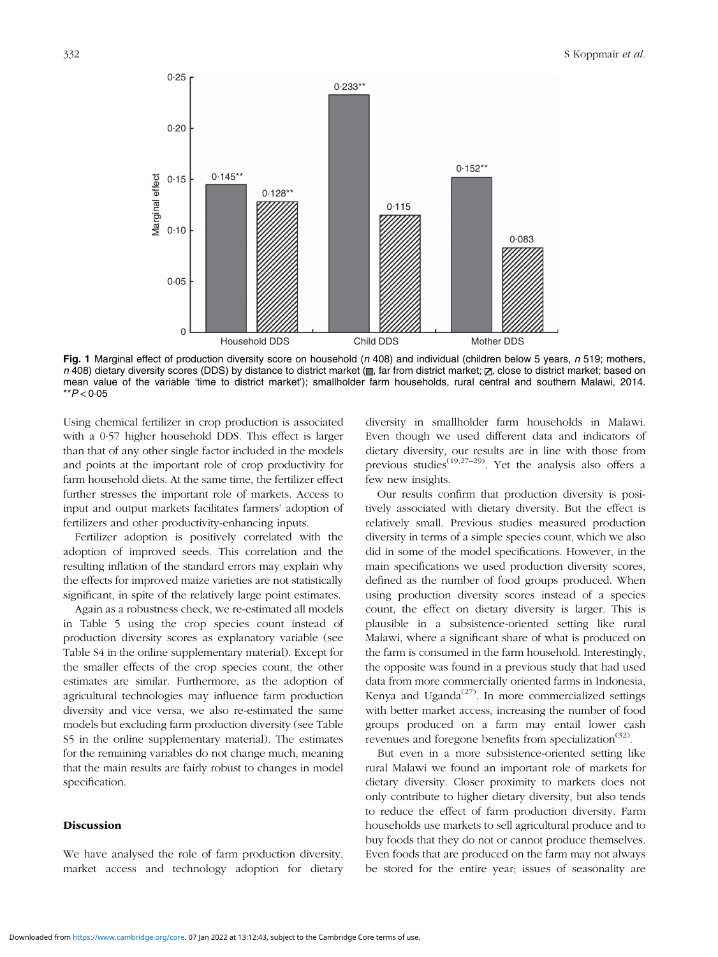<span id="page-7-0"></span>

Fig. 1 Marginal effect of production diversity score on household ( $n$  408) and individual (children below 5 years,  $n$  519; mothers,  $n$  408) dietary diversity scores (DDS) by distance to district market ( $\blacksquare$ , far from district market;  $\blacksquare$ , close to district market; based on mean value of the variable 'time to district market'); smallholder farm households, rural central and southern Malawi, 2014.  $*$  $P$  < 0.05

Using chemical fertilizer in crop production is associated with a 0·57 higher household DDS. This effect is larger than that of any other single factor included in the models and points at the important role of crop productivity for farm household diets. At the same time, the fertilizer effect further stresses the important role of markets. Access to input and output markets facilitates farmers' adoption of fertilizers and other productivity-enhancing inputs.

Fertilizer adoption is positively correlated with the adoption of improved seeds. This correlation and the resulting inflation of the standard errors may explain why the effects for improved maize varieties are not statistically significant, in spite of the relatively large point estimates.

Again as a robustness check, we re-estimated all models in [Table 5](#page-8-0) using the crop species count instead of production diversity scores as explanatory variable (see Table S4 in the online supplementary material). Except for the smaller effects of the crop species count, the other estimates are similar. Furthermore, as the adoption of agricultural technologies may influence farm production diversity and vice versa, we also re-estimated the same models but excluding farm production diversity (see Table S5 in the online supplementary material). The estimates for the remaining variables do not change much, meaning that the main results are fairly robust to changes in model specification.

# Discussion

We have analysed the role of farm production diversity, market access and technology adoption for dietary diversity in smallholder farm households in Malawi. Even though we used different data and indicators of dietary diversity, our results are in line with those from previous studies<sup>[\(19,27](#page-10-0)–[29\)](#page-10-0)</sup>. Yet the analysis also offers a few new insights.

Our results confirm that production diversity is positively associated with dietary diversity. But the effect is relatively small. Previous studies measured production diversity in terms of a simple species count, which we also did in some of the model specifications. However, in the main specifications we used production diversity scores, defined as the number of food groups produced. When using production diversity scores instead of a species count, the effect on dietary diversity is larger. This is plausible in a subsistence-oriented setting like rural Malawi, where a significant share of what is produced on the farm is consumed in the farm household. Interestingly, the opposite was found in a previous study that had used data from more commercially oriented farms in Indonesia, Kenya and Uganda<sup> $(27)$ </sup>. In more commercialized settings with better market access, increasing the number of food groups produced on a farm may entail lower cash revenues and foregone benefits from specialization<sup>[\(32](#page-10-0))</sup>.

But even in a more subsistence-oriented setting like rural Malawi we found an important role of markets for dietary diversity. Closer proximity to markets does not only contribute to higher dietary diversity, but also tends to reduce the effect of farm production diversity. Farm households use markets to sell agricultural produce and to buy foods that they do not or cannot produce themselves. Even foods that are produced on the farm may not always be stored for the entire year; issues of seasonality are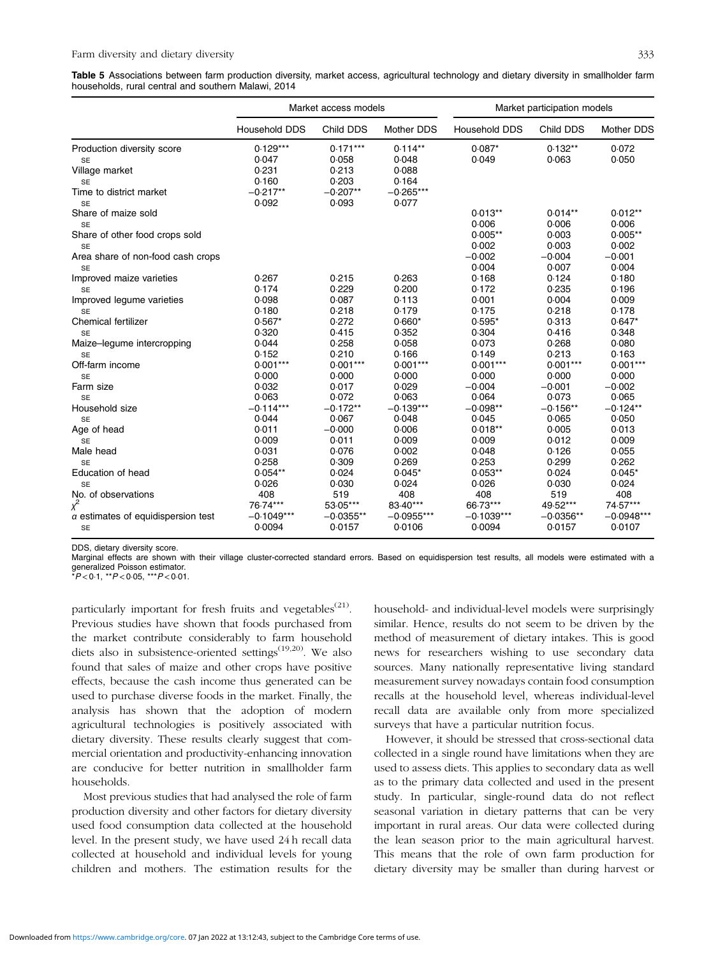<span id="page-8-0"></span>Table 5 Associations between farm production diversity, market access, agricultural technology and dietary diversity in smallholder farm households, rural central and southern Malawi, 2014

|                                           |               | Market access models |                   | Market participation models |             |                   |  |
|-------------------------------------------|---------------|----------------------|-------------------|-----------------------------|-------------|-------------------|--|
|                                           | Household DDS | Child DDS            | <b>Mother DDS</b> | Household DDS               | Child DDS   | <b>Mother DDS</b> |  |
| Production diversity score                | $0.129***$    | $0.171***$           | $0.114**$         | $0.087*$                    | $0.132**$   | 0.072             |  |
| <b>SE</b>                                 | 0.047         | 0.058                | 0.048             | 0.049                       | 0.063       | 0.050             |  |
| Village market                            | 0.231         | 0.213                | 0.088             |                             |             |                   |  |
| <b>SE</b>                                 | 0.160         | 0.203                | 0.164             |                             |             |                   |  |
| Time to district market                   | $-0.217**$    | $-0.207**$           | $-0.265***$       |                             |             |                   |  |
| <b>SE</b>                                 | 0.092         | 0.093                | 0.077             |                             |             |                   |  |
| Share of maize sold                       |               |                      |                   | $0.013**$                   | $0.014**$   | $0.012**$         |  |
| <b>SE</b>                                 |               |                      |                   | 0.006                       | 0.006       | 0.006             |  |
| Share of other food crops sold            |               |                      |                   | $0.005**$                   | 0.003       | $0.005**$         |  |
| <b>SE</b>                                 |               |                      |                   | 0.002                       | 0.003       | 0.002             |  |
| Area share of non-food cash crops         |               |                      |                   | $-0.002$                    | $-0.004$    | $-0.001$          |  |
| <b>SE</b>                                 |               |                      |                   | 0.004                       | 0.007       | 0.004             |  |
| Improved maize varieties                  | 0.267         | 0.215                | 0.263             | 0.168                       | 0.124       | 0.180             |  |
| <b>SE</b>                                 | 0.174         | 0.229                | 0.200             | 0.172                       | 0.235       | 0.196             |  |
| Improved legume varieties                 | 0.098         | 0.087                | 0.113             | 0.001                       | 0.004       | 0.009             |  |
| <b>SE</b>                                 | 0.180         | 0.218                | 0.179             | 0.175                       | 0.218       | 0.178             |  |
| <b>Chemical fertilizer</b>                | $0.567*$      | 0.272                | $0.660*$          | $0.595*$                    | 0.313       | $0.647*$          |  |
| <b>SE</b>                                 | 0.320         | 0.415                | 0.352             | 0.304                       | 0.416       | 0.348             |  |
| Maize-legume intercropping                | 0.044         | 0.258                | 0.058             | 0.073                       | 0.268       | 0.080             |  |
| <b>SE</b>                                 | 0.152         | 0.210                | 0.166             | 0.149                       | 0.213       | 0.163             |  |
| Off-farm income                           | $0.001***$    | $0.001***$           | $0.001***$        | $0.001***$                  | $0.001***$  | $0.001***$        |  |
| <b>SE</b>                                 | 0.000         | 0.000                | 0.000             | 0.000                       | 0.000       | 0.000             |  |
| Farm size                                 | 0.032         | 0.017                | 0.029             | $-0.004$                    | $-0.001$    | $-0.002$          |  |
| <b>SE</b>                                 | 0.063         | 0.072                | 0.063             | 0.064                       | 0.073       | 0.065             |  |
| Household size                            | $-0.114***$   | $-0.172**$           | $-0.139***$       | $-0.098**$                  | $-0.156**$  | $-0.124**$        |  |
| <b>SE</b>                                 | 0.044         | 0.067                | 0.048             | 0.045                       | 0.065       | 0.050             |  |
| Age of head                               | 0.011         | $-0.000$             | 0.006             | $0.018**$                   | 0.005       | 0.013             |  |
| <b>SE</b>                                 | 0.009         | 0.011                | 0.009             | 0.009                       | 0.012       | 0.009             |  |
| Male head                                 | 0.031         | 0.076                | 0.002             | 0.048                       | 0.126       | 0.055             |  |
| <b>SE</b>                                 | 0.258         | 0.309                | 0.269             | 0.253                       | 0.299       | 0.262             |  |
| Education of head                         | $0.054**$     | 0.024                | $0.045*$          | $0.053**$                   | 0.024       | $0.045*$          |  |
| <b>SE</b>                                 | 0.026         | 0.030                | 0.024             | 0.026                       | 0.030       | 0.024             |  |
| No. of observations                       | 408           | 519                  | 408               | 408                         | 519         | 408               |  |
| $\chi^2$                                  | 76.74***      | 53.05***             | 83.40***          | 66.73***                    | 49.52***    | 74.57***          |  |
| $\alpha$ estimates of equidispersion test | $-0.1049***$  | $-0.0355**$          | $-0.0955***$      | $-0.1039***$                | $-0.0356**$ | $-0.0948***$      |  |
| <b>SE</b>                                 | 0.0094        | 0.0157               | 0.0106            | 0.0094                      | 0.0157      | 0.0107            |  |
|                                           |               |                      |                   |                             |             |                   |  |

DDS, dietary diversity score.

Marginal effects are shown with their village cluster-corrected standard errors. Based on equidispersion test results, all models were estimated with a generalized Poisson estimator.

 $*P$  < 0.1,  $*P$  < 0.05,  $**P$  < 0.01.

particularly important for fresh fruits and vegetables<sup> $(21)$  $(21)$  $(21)$ </sup>. Previous studies have shown that foods purchased from the market contribute considerably to farm household diets also in subsistence-oriented settings<sup> $(19,20)$  $(19,20)$ </sup>. We also found that sales of maize and other crops have positive effects, because the cash income thus generated can be used to purchase diverse foods in the market. Finally, the analysis has shown that the adoption of modern agricultural technologies is positively associated with dietary diversity. These results clearly suggest that commercial orientation and productivity-enhancing innovation are conducive for better nutrition in smallholder farm households.

Most previous studies that had analysed the role of farm production diversity and other factors for dietary diversity used food consumption data collected at the household level. In the present study, we have used 24 h recall data collected at household and individual levels for young children and mothers. The estimation results for the household- and individual-level models were surprisingly similar. Hence, results do not seem to be driven by the method of measurement of dietary intakes. This is good news for researchers wishing to use secondary data sources. Many nationally representative living standard measurement survey nowadays contain food consumption recalls at the household level, whereas individual-level recall data are available only from more specialized surveys that have a particular nutrition focus.

However, it should be stressed that cross-sectional data collected in a single round have limitations when they are used to assess diets. This applies to secondary data as well as to the primary data collected and used in the present study. In particular, single-round data do not reflect seasonal variation in dietary patterns that can be very important in rural areas. Our data were collected during the lean season prior to the main agricultural harvest. This means that the role of own farm production for dietary diversity may be smaller than during harvest or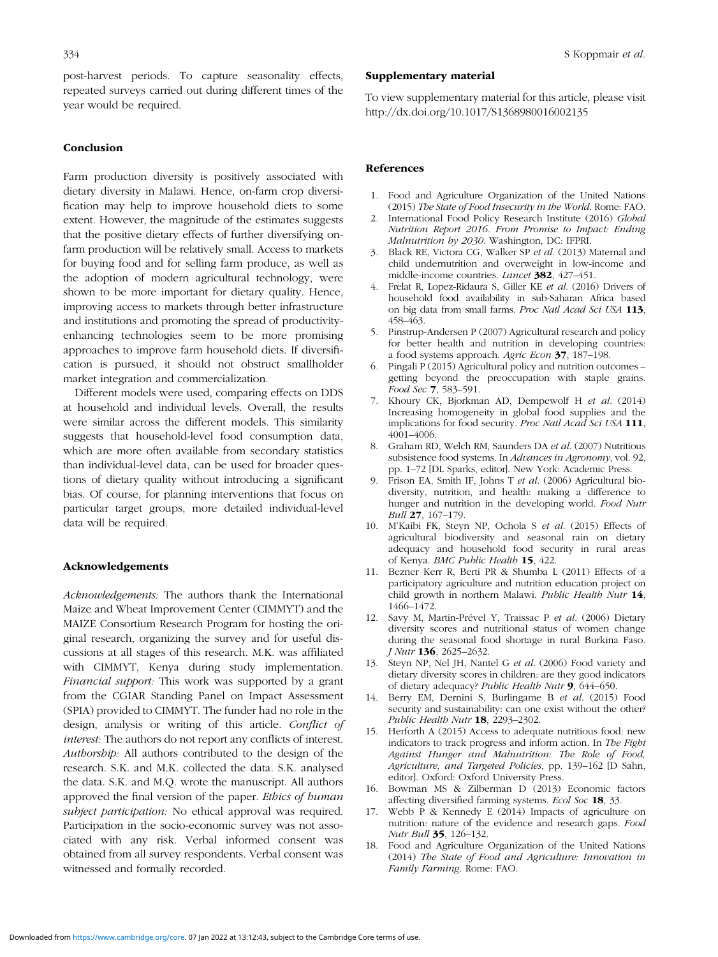<span id="page-9-0"></span>post-harvest periods. To capture seasonality effects, repeated surveys carried out during different times of the year would be required.

# Conclusion

Farm production diversity is positively associated with dietary diversity in Malawi. Hence, on-farm crop diversification may help to improve household diets to some extent. However, the magnitude of the estimates suggests that the positive dietary effects of further diversifying onfarm production will be relatively small. Access to markets for buying food and for selling farm produce, as well as the adoption of modern agricultural technology, were shown to be more important for dietary quality. Hence, improving access to markets through better infrastructure and institutions and promoting the spread of productivityenhancing technologies seem to be more promising approaches to improve farm household diets. If diversification is pursued, it should not obstruct smallholder market integration and commercialization.

Different models were used, comparing effects on DDS at household and individual levels. Overall, the results were similar across the different models. This similarity suggests that household-level food consumption data, which are more often available from secondary statistics than individual-level data, can be used for broader questions of dietary quality without introducing a significant bias. Of course, for planning interventions that focus on particular target groups, more detailed individual-level data will be required.

#### Acknowledgements

Acknowledgements: The authors thank the International Maize and Wheat Improvement Center (CIMMYT) and the MAIZE Consortium Research Program for hosting the original research, organizing the survey and for useful discussions at all stages of this research. M.K. was affiliated with CIMMYT, Kenya during study implementation. Financial support: This work was supported by a grant from the CGIAR Standing Panel on Impact Assessment (SPIA) provided to CIMMYT. The funder had no role in the design, analysis or writing of this article. Conflict of interest: The authors do not report any conflicts of interest. Authorship: All authors contributed to the design of the research. S.K. and M.K. collected the data. S.K. analysed the data. S.K. and M.Q. wrote the manuscript. All authors approved the final version of the paper. Ethics of human subject participation. No ethical approval was required. Participation in the socio-economic survey was not associated with any risk. Verbal informed consent was obtained from all survey respondents. Verbal consent was witnessed and formally recorded.

## Supplementary material

To view supplementary material for this article, please visit <http://dx.doi.org/10.1017/S1368980016002135>

#### References

- 1. Food and Agriculture Organization of the United Nations (2015) The State of Food Insecurity in the World. Rome: FAO.
- 2. International Food Policy Research Institute (2016) Global Nutrition Report 2016. From Promise to Impact: Ending Malnutrition by 2030. Washington, DC: IFPRI.
- 3. Black RE, Victora CG, Walker SP et al. (2013) Maternal and child undernutrition and overweight in low-income and middle-income countries. Lancet 382, 427–451.
- 4. Frelat R, Lopez-Ridaura S, Giller KE et al. (2016) Drivers of household food availability in sub-Saharan Africa based on big data from small farms. Proc Natl Acad Sci USA 113, 458–463.
- 5. Pinstrup-Andersen P (2007) Agricultural research and policy for better health and nutrition in developing countries: a food systems approach. Agric Econ 37, 187–198.
- 6. Pingali P (2015) Agricultural policy and nutrition outcomes getting beyond the preoccupation with staple grains. Food Sec 7, 583–591.
- 7. Khoury CK, Bjorkman AD, Dempewolf H et al. (2014) Increasing homogeneity in global food supplies and the implications for food security. Proc Natl Acad Sci USA 111, 4001–4006.
- 8. Graham RD, Welch RM, Saunders DA et al. (2007) Nutritious subsistence food systems. In Advances in Agronomy, vol. 92, pp. 1–72 [DL Sparks, editor]. New York: Academic Press.
- 9. Frison EA, Smith IF, Johns T et al. (2006) Agricultural biodiversity, nutrition, and health: making a difference to hunger and nutrition in the developing world. Food Nutr Bull 27, 167–179.
- 10. M'Kaibi FK, Steyn NP, Ochola S et al. (2015) Effects of agricultural biodiversity and seasonal rain on dietary adequacy and household food security in rural areas of Kenya. BMC Public Health 15, 422.
- 11. Bezner Kerr R, Berti PR & Shumba L (2011) Effects of a participatory agriculture and nutrition education project on child growth in northern Malawi. Public Health Nutr 14, 1466–1472.
- 12. Savy M, Martin-Prével Y, Traissac P et al. (2006) Dietary diversity scores and nutritional status of women change during the seasonal food shortage in rural Burkina Faso. J Nutr 136, 2625–2632.
- 13. Steyn NP, Nel JH, Nantel G et al. (2006) Food variety and dietary diversity scores in children: are they good indicators of dietary adequacy? Public Health Nutr 9, 644–650.
- 14. Berry EM, Dernini S, Burlingame B et al. (2015) Food security and sustainability: can one exist without the other? Public Health Nutr 18, 2293-2302.
- 15. Herforth A (2015) Access to adequate nutritious food: new indicators to track progress and inform action. In The Fight Against Hunger and Malnutrition: The Role of Food, Agriculture, and Targeted Policies, pp. 139–162 [D Sahn, editor]. Oxford: Oxford University Press.
- 16. Bowman MS & Zilberman D (2013) Economic factors affecting diversified farming systems. Ecol Soc 18, 33.
- 17. Webb P & Kennedy E (2014) Impacts of agriculture on nutrition: nature of the evidence and research gaps. Food Nutr Bull 35, 126–132.
- 18. Food and Agriculture Organization of the United Nations (2014) The State of Food and Agriculture: Innovation in Family Farming. Rome: FAO.